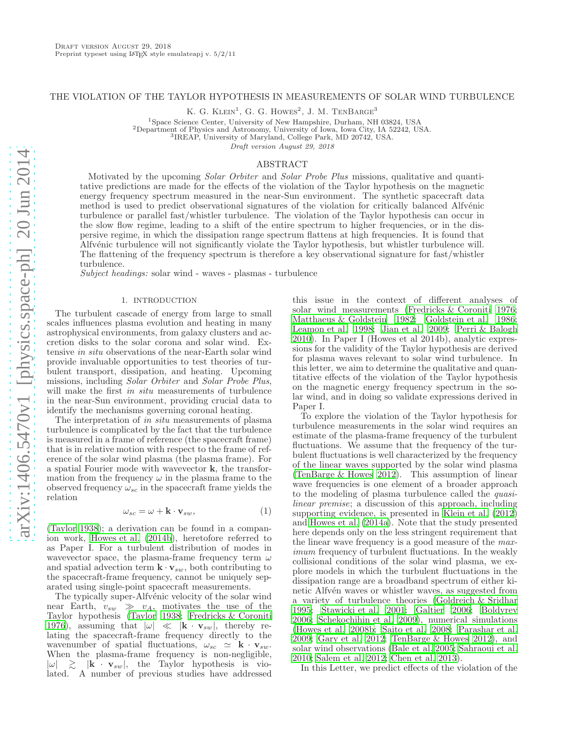# THE VIOLATION OF THE TAYLOR HYPOTHESIS IN MEASUREMENTS OF SOLAR WIND TURBULENCE

K. G. KLEIN<sup>1</sup>, G. G. HOWES<sup>2</sup>, J. M. TENBARGE<sup>3</sup>

<sup>1</sup>Space Science Center, University of New Hampshire, Durham, NH 03824, USA <sup>2</sup>Department of Physics and Astronomy, University of Iowa, Iowa City, IA 52242, USA.

<sup>3</sup>IREAP, University of Maryland, College Park, MD 20742, USA.

Draft version August 29, 2018

#### ABSTRACT

Motivated by the upcoming *Solar Orbiter* and *Solar Probe Plus* missions, qualitative and quantitative predictions are made for the effects of the violation of the Taylor hypothesis on the magnetic energy frequency spectrum measured in the near-Sun environment. The synthetic spacecraft data method is used to predict observational signatures of the violation for critically balanced Alfv $\acute{e}$ nic turbulence or parallel fast/whistler turbulence. The violation of the Taylor hypothesis can occur in the slow flow regime, leading to a shift of the entire spectrum to higher frequencies, or in the dispersive regime, in which the dissipation range spectrum flattens at high frequencies. It is found that Alfvénic turbulence will not significantly violate the Taylor hypothesis, but whistler turbulence will. The flattening of the frequency spectrum is therefore a key observational signature for fast/whistler turbulence.

Subject headings: solar wind - waves - plasmas - turbulence

### 1. INTRODUCTION

The turbulent cascade of energy from large to small scales influences plasma evolution and heating in many astrophysical environments, from galaxy clusters and accretion disks to the solar corona and solar wind. Extensive in situ observations of the near-Earth solar wind provide invaluable opportunities to test theories of turbulent transport, dissipation, and heating. Upcoming missions, including *Solar Orbiter* and *Solar Probe Plus*, will make the first *in situ* measurements of turbulence in the near-Sun environment, providing crucial data to identify the mechanisms governing coronal heating.

The interpretation of in situ measurements of plasma turbulence is complicated by the fact that the turbulence is measured in a frame of reference (the spacecraft frame) that is in relative motion with respect to the frame of reference of the solar wind plasma (the plasma frame). For a spatial Fourier mode with wavevector k, the transformation from the frequency  $\omega$  in the plasma frame to the observed frequency  $\omega_{sc}$  in the spacecraft frame yields the relation

<span id="page-0-0"></span>
$$
\omega_{sc} = \omega + \mathbf{k} \cdot \mathbf{v}_{sw},\tag{1}
$$

[\(Taylor 1938\)](#page-4-0); a derivation can be found in a companion work, [Howes et al. \(2014b](#page-4-1)), heretofore referred to as Paper I. For a turbulent distribution of modes in wavevector space, the plasma-frame frequency term  $\omega$ and spatial advection term  $\mathbf{k} \cdot \mathbf{v}_{sw}$ , both contributing to the spacecraft-frame frequency, cannot be uniquely separated using single-point spacecraft measurements.

The typically super-Alfvénic velocity of the solar wind near Earth,  $v_{sw} \gg v_A$ , motivates the use of the Taylor hypothesis [\(Taylor 1938;](#page-4-0) [Fredricks & Coroniti](#page-4-2) [1976\)](#page-4-2), assuming that  $|\omega| \ll |\mathbf{k} \cdot \mathbf{v}_{sw}|$ , thereby relating the spacecraft-frame frequency directly to the wavenumber of spatial fluctuations,  $\omega_{sc} \simeq \mathbf{k} \cdot \mathbf{v}_{sw}$ . When the plasma-frame frequency is non-negligible,  $|\omega| \geq |\mathbf{k} \cdot \mathbf{v}_{sw}|$ , the Taylor hypothesis is vio-<br>lated. A number of previous studies have addressed

this issue in the context of different analyses of solar wind measurements [\(Fredricks & Coroniti 1976](#page-4-2); [Matthaeus & Goldstein 1982;](#page-4-3) [Goldstein et al. 1986](#page-4-4); [Leamon et al. 1998;](#page-4-5) [Jian et al. 2009;](#page-4-6) [Perri & Balogh](#page-4-7) [2010\)](#page-4-7). In Paper I (Howes et al 2014b), analytic expressions for the validity of the Taylor hypothesis are derived for plasma waves relevant to solar wind turbulence. In this letter, we aim to determine the qualitative and quantitative effects of the violation of the Taylor hypothesis on the magnetic energy frequency spectrum in the solar wind, and in doing so validate expressions derived in Paper I.

To explore the violation of the Taylor hypothesis for turbulence measurements in the solar wind requires an estimate of the plasma-frame frequency of the turbulent fluctuations. We assume that the frequency of the turbulent fluctuations is well characterized by the frequency of the linear waves supported by the solar wind plasma [\(TenBarge & Howes 2012\)](#page-4-8). This assumption of linear wave frequencies is one element of a broader approach to the modeling of plasma turbulence called the quasilinear premise; a discussion of this approach, including supporting evidence, is presented in [Klein et al. \(2012](#page-4-9)) and [Howes et al. \(2014a](#page-4-10)). Note that the study presented here depends only on the less stringent requirement that the linear wave frequency is a good measure of the maximum frequency of turbulent fluctuations. In the weakly collisional conditions of the solar wind plasma, we explore models in which the turbulent fluctuations in the dissipation range are a broadband spectrum of either kinetic Alfvén waves or whistler waves, as suggested from a variety of turbulence theories [\(Goldreich & Sridhar](#page-4-11) [1995;](#page-4-11) [Stawicki et al. 2001;](#page-4-12) [Galtier 2006;](#page-4-13) [Boldyrev](#page-4-14) [2006;](#page-4-14) [Schekochihin et al. 2009\)](#page-4-15), numerical simulations [\(Howes et al. 2008b](#page-4-16); [Saito et al. 2008;](#page-4-17) [Parashar et al.](#page-4-18) [2009;](#page-4-18) [Gary et al. 2012;](#page-4-19) [TenBarge & Howes 2012\)](#page-4-8), and solar wind observations [\(Bale et al. 2005;](#page-4-20) [Sahraoui et al.](#page-4-21) [2010;](#page-4-21) [Salem et al. 2012;](#page-4-22) [Chen et al. 2013\)](#page-4-23).

In this Letter, we predict effects of the violation of the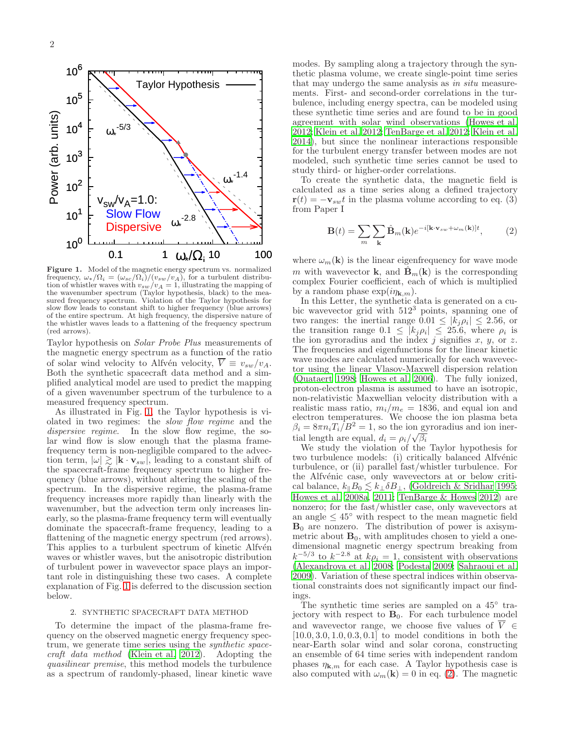

<span id="page-1-0"></span>Figure 1. Model of the magnetic energy spectrum vs. normalized frequency,  $\omega_*/\Omega_i = (\omega_{sc}/\Omega_i)/(v_{sw}/v_A)$ , for a turbulent distribution of whistler waves with  $v_{sw}/v_A = 1$ , illustrating the mapping of the wavenumber spectrum (Taylor hypothesis, black) to the measured frequency spectrum. Violation of the Taylor hypothesis for slow flow leads to constant shift to higher frequency (blue arrows) of the entire spectrum. At high frequency, the dispersive nature of the whistler waves leads to a flattening of the frequency spectrum (red arrows).

Taylor hypothesis on Solar Probe Plus measurements of the magnetic energy spectrum as a function of the ratio of solar wind velocity to Alfvén velocity,  $\overline{V} \equiv v_{sw}/v_A$ . Both the synthetic spacecraft data method and a simplified analytical model are used to predict the mapping of a given wavenumber spectrum of the turbulence to a measured frequency spectrum.

As illustrated in Fig. [1,](#page-1-0) the Taylor hypothesis is violated in two regimes: the *slow flow regime* and the dispersive regime. In the slow flow regime, the solar wind flow is slow enough that the plasma framefrequency term is non-negligible compared to the advection term,  $|\omega| \gtrsim |\mathbf{k} \cdot \mathbf{v}_{sw}|$ , leading to a constant shift of the spacecraft-frame frequency spectrum to higher frequency (blue arrows), without altering the scaling of the spectrum. In the dispersive regime, the plasma-frame frequency increases more rapidly than linearly with the wavenumber, but the advection term only increases linearly, so the plasma-frame frequency term will eventually dominate the spacecraft-frame frequency, leading to a flattening of the magnetic energy spectrum (red arrows). This applies to a turbulent spectrum of kinetic Alfvén waves or whistler waves, but the anisotropic distribution of turbulent power in wavevector space plays an important role in distinguishing these two cases. A complete explanation of Fig. [1](#page-1-0) is deferred to the discussion section below.

## 2. SYNTHETIC SPACECRAFT DATA METHOD

To determine the impact of the plasma-frame frequency on the observed magnetic energy frequency spectrum, we generate time series using the *synthetic space*craft data method [\(Klein et al. 2012\)](#page-4-9). Adopting the quasilinear premise, this method models the turbulence as a spectrum of randomly-phased, linear kinetic wave

modes. By sampling along a trajectory through the synthetic plasma volume, we create single-point time series that may undergo the same analysis as in situ measurements. First- and second-order correlations in the turbulence, including energy spectra, can be modeled using these synthetic time series and are found to be in good agreement with solar wind observations [\(Howes et al.](#page-4-24) [2012;](#page-4-24) [Klein et al. 2012;](#page-4-9) [TenBarge et al. 2012](#page-4-25); [Klein et al.](#page-4-26) [2014\)](#page-4-26), but since the nonlinear interactions responsible for the turbulent energy transfer between modes are not modeled, such synthetic time series cannot be used to study third- or higher-order correlations.

To create the synthetic data, the magnetic field is calculated as a time series along a defined trajectory  $\mathbf{r}(t) = -\mathbf{v}_{sw}t$  in the plasma volume according to eq. (3) from Paper I

<span id="page-1-1"></span>
$$
\mathbf{B}(t) = \sum_{m} \sum_{\mathbf{k}} \hat{\mathbf{B}}_{m}(\mathbf{k}) e^{-i[\mathbf{k} \cdot \mathbf{v}_{sw} + \omega_{m}(\mathbf{k})]t}, \qquad (2)
$$

where  $\omega_m(\mathbf{k})$  is the linear eigenfrequency for wave mode m with wavevector **k**, and  $\hat{\mathbf{B}}_m(\mathbf{k})$  is the corresponding complex Fourier coefficient, each of which is multiplied by a random phase  $\exp(i\eta_{\mathbf{k},m})$ .

In this Letter, the synthetic data is generated on a cubic wavevector grid with  $512<sup>3</sup>$  points, spanning one of two ranges: the inertial range  $0.01 \leq |k_j \rho_i| \leq 2.56$ , or the transition range  $0.1 \leq |k_j \rho_i| \leq 25.6$ , where  $\rho_i$  is the ion gyroradius and the index  $j$  signifies  $x, y$ , or  $z$ . The frequencies and eigenfunctions for the linear kinetic wave modes are calculated numerically for each wavevector using the linear Vlasov-Maxwell dispersion relation [\(Quataert 1998](#page-4-27); [Howes et al. 2006\)](#page-4-28). The fully ionized, proton-electron plasma is assumed to have an isotropic, non-relativistic Maxwellian velocity distribution with a realistic mass ratio,  $m_i/m_e = 1836$ , and equal ion and electron temperatures. We choose the ion plasma beta  $\beta_i = 8\pi n_i T_i \hat{B}^2 = 1$ , so the ion gyroradius and ion inertial length are equal,  $d_i = \rho_i / \sqrt{\beta_i}$ 

We study the violation of the Taylor hypothesis for two turbulence models: (i) critically balanced Alfvénic turbulence, or (ii) parallel fast/whistler turbulence. For the Alfvénic case, only wavevectors at or below critical balance,  $k_{\parallel}B_0 \lesssim k_{\perp} \delta B_{\perp}$ , [\(Goldreich & Sridhar 1995](#page-4-11); [Howes et al. 2008a,](#page-4-29) [2011](#page-4-30); [TenBarge & Howes 2012\)](#page-4-8) are nonzero; for the fast/whistler case, only wavevectors at an angle  $\leq 45^{\circ}$  with respect to the mean magnetic field  $B_0$  are nonzero. The distribution of power is axisymmetric about  $B_0$ , with amplitudes chosen to yield a onedimensional magnetic energy spectrum breaking from  $k^{-5/3}$  to  $k^{-2.8}$  at  $k\rho_i = 1$ , consistent with observations [\(Alexandrova et al. 2008;](#page-4-31) [Podesta 2009](#page-4-32); [Sahraoui et al.](#page-4-33) [2009\)](#page-4-33). Variation of these spectral indices within observational constraints does not significantly impact our findings.

The synthetic time series are sampled on a 45<sup>°</sup> trajectory with respect to  $B_0$ . For each turbulence model and wavevector range, we choose five values of  $\overline{V} \in$  $[10.0, 3.0, 1.0, 0.3, 0.1]$  to model conditions in both the near-Earth solar wind and solar corona, constructing an ensemble of 64 time series with independent random phases  $\eta_{\mathbf{k},m}$  for each case. A Taylor hypothesis case is also computed with  $\omega_m(\mathbf{k}) = 0$  in eq. [\(2\)](#page-1-1). The magnetic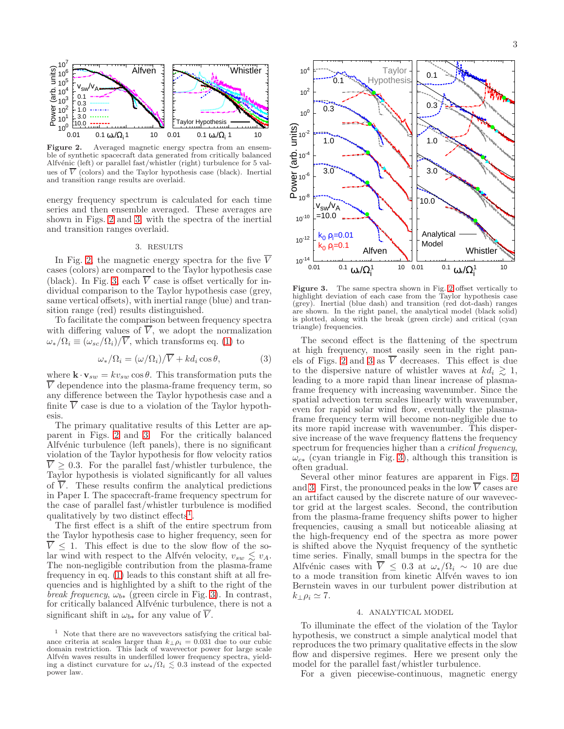

<span id="page-2-0"></span>Figure 2. Averaged magnetic energy spectra from an ensemble of synthetic spacecraft data generated from critically balanced Alfvénic (left) or parallel fast/whistler (right) turbulence for  $5$  values of  $\overline{V}$  (colors) and the Taylor hypothesis case (black). Inertial and transition range results are overlaid.

energy frequency spectrum is calculated for each time series and then ensemble averaged. These averages are shown in Figs. [2](#page-2-0) and [3,](#page-2-1) with the spectra of the inertial and transition ranges overlaid.

## 3. RESULTS

In Fig. [2,](#page-2-0) the magnetic energy spectra for the five  $\overline{V}$ cases (colors) are compared to the Taylor hypothesis case (black). In Fig. [3,](#page-2-1) each  $\overline{V}$  case is offset vertically for individual comparison to the Taylor hypothesis case (grey, same vertical offsets), with inertial range (blue) and transition range (red) results distinguished.

To facilitate the comparison between frequency spectra with differing values of  $\overline{V}$ , we adopt the normalization  $\omega_*/\Omega_i \equiv (\omega_{sc}/\Omega_i)/\overline{V}$ , which transforms eq. [\(1\)](#page-0-0) to

<span id="page-2-3"></span>
$$
\omega_* / \Omega_i = (\omega / \Omega_i) / \overline{V} + kd_i \cos \theta, \qquad (3)
$$

where  $\mathbf{k} \cdot \mathbf{v}_{sw} = kv_{sw} \cos \theta$ . This transformation puts the  $\overline{V}$  dependence into the plasma-frame frequency term, so any difference between the Taylor hypothesis case and a finite  $\overline{V}$  case is due to a violation of the Taylor hypothesis.

The primary qualitative results of this Letter are apparent in Figs. [2](#page-2-0) and [3.](#page-2-1) For the critically balanced Alfvénic turbulence (left panels), there is no significant violation of the Taylor hypothesis for flow velocity ratios  $\overline{V} \geq 0.3$ . For the parallel fast/whistler turbulence, the Taylor hypothesis is violated significantly for all values of  $\overline{V}$ . These results confirm the analytical predictions in Paper I. The spacecraft-frame frequency spectrum for the case of parallel fast/whistler turbulence is modified qualitatively by two distinct effects<sup>[1](#page-2-2)</sup>.

The first effect is a shift of the entire spectrum from the Taylor hypothesis case to higher frequency, seen for  $\overline{V} \leq 1$ . This effect is due to the slow flow of the solar wind with respect to the Alfvén velocity,  $v_{sw} \lesssim v_A$ . The non-negligible contribution from the plasma-frame frequency in eq. [\(1\)](#page-0-0) leads to this constant shift at all frequencies and is highlighted by a shift to the right of the break frequency,  $\omega_{b*}$  (green circle in Fig. [3\)](#page-2-1). In contrast, for critically balanced Alfvénic turbulence, there is not a significant shift in  $\omega_{b*}$  for any value of  $\overline{V}$ .



<span id="page-2-1"></span>Figure 3. The same spectra shown in Fig. [2](#page-2-0) offset vertically to highlight deviation of each case from the Taylor hypothesis case (grey). Inertial (blue dash) and transition (red dot-dash) ranges are shown. In the right panel, the analytical model (black solid) is plotted, along with the break (green circle) and critical (cyan triangle) frequencies.

The second effect is the flattening of the spectrum at high frequency, most easily seen in the right pan-els of Figs. [2](#page-2-0) and [3](#page-2-1) as  $\overline{V}$  decreases. This effect is due to the dispersive nature of whistler waves at  $k d_i \geq 1$ , leading to a more rapid than linear increase of plasmaframe frequency with increasing wavenumber. Since the spatial advection term scales linearly with wavenumber, even for rapid solar wind flow, eventually the plasmaframe frequency term will become non-negligible due to its more rapid increase with wavenumber. This dispersive increase of the wave frequency flattens the frequency spectrum for frequencies higher than a *critical frequency*,  $\omega_{c*}$  (cyan triangle in Fig. [3\)](#page-2-1), although this transition is often gradual.

Several other minor features are apparent in Figs. [2](#page-2-0) and [3.](#page-2-1) First, the pronounced peaks in the low  $\overline{V}$  cases are an artifact caused by the discrete nature of our wavevector grid at the largest scales. Second, the contribution from the plasma-frame frequency shifts power to higher frequencies, causing a small but noticeable aliasing at the high-frequency end of the spectra as more power is shifted above the Nyquist frequency of the synthetic time series. Finally, small bumps in the spectra for the Alfvénic cases with  $\overline{V} \leq 0.3$  at  $\omega_*/\Omega_i \sim 10$  are due to a mode transition from kinetic Alfvén waves to ion Bernstein waves in our turbulent power distribution at  $k_{\perp} \rho_i \simeq 7.$ 

## 4. ANALYTICAL MODEL

To illuminate the effect of the violation of the Taylor hypothesis, we construct a simple analytical model that reproduces the two primary qualitative effects in the slow flow and dispersive regimes. Here we present only the model for the parallel fast/whistler turbulence.

For a given piecewise-continuous, magnetic energy

<span id="page-2-2"></span><sup>1</sup> Note that there are no wavevectors satisfying the critical balance criteria at scales larger than  $k_{\perp} \rho_i = 0.031$  due to our cubic domain restriction. This lack of wavevector power for large scale Alfvén waves results in underfilled lower frequency spectra, yielding a distinct curvature for  $\omega_*/\Omega_i \lesssim 0.3$  instead of the expected power law.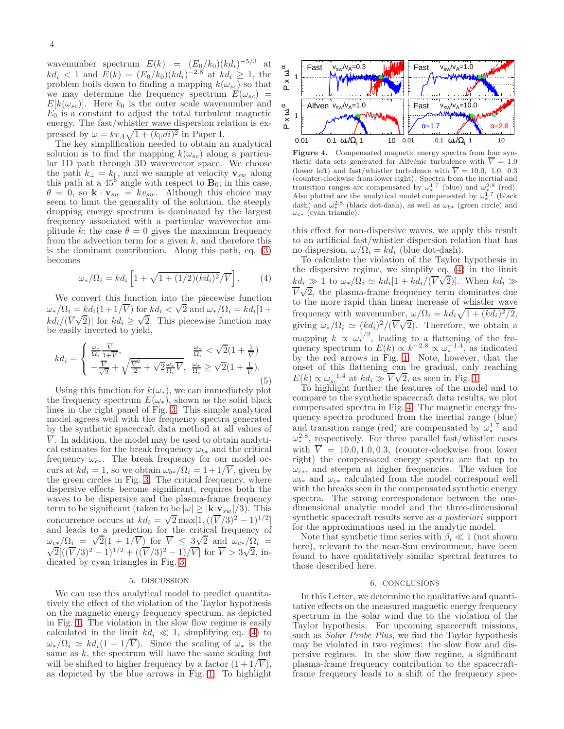wavenumber spectrum  $E(k) = (E_0/k_0)(kd_i)^{-5/3}$  at  $kd_i < 1$  and  $E(k) = (E_0/k_0)(kd_i)^{-2.8}$  at  $kd_i \ge 1$ , the problem boils down to finding a mapping  $k(\omega_{sc})$  so that we may determine the frequency spectrum  $E(\omega_{sc})$  =  $E[k(\omega_{sc})]$ . Here  $k_0$  is the outer scale wavenumber and  $E_0$  is a constant to adjust the total turbulent magnetic energy. The fast/whistler wave dispersion relation is expressed by  $\omega = kv_A \sqrt{1 + (k_{\parallel}di)^2}$  in Paper I.

The key simplification needed to obtain an analytical solution is to find the mapping  $k(\omega_{sc})$  along a particular 1D path through 3D wavevector space. We choose the path  $k_{\perp} = k_{\parallel}$ , and we sample at velocity  $\mathbf{v}_{sw}$  along this path at a  $45^8$  angle with respect to  $\mathbf{B}_0$ ; in this case,  $\theta = 0$ , so  $\mathbf{k} \cdot \mathbf{v}_{sw} = kv_{sw}$ . Although this choice may seem to limit the generality of the solution, the steeply dropping energy spectrum is dominated by the largest frequency associated with a particular wavevector amplitude k; the case  $\theta = 0$  gives the maximum frequency from the advection term for a given  $k$ , and therefore this is the dominant contribution. Along this path, eq. [\(3\)](#page-2-3) becomes

<span id="page-3-0"></span>
$$
\omega_* / \Omega_i = k d_i \left[ 1 + \sqrt{1 + (1/2)(k d_i)^2} / \overline{V} \right].
$$
 (4)

We convert this function into the piecewise function  $\omega_*/\Omega_i = k d_i (1+1/\overline{V})$  for  $k d_i < \sqrt{2}$  and  $\omega_*/\Omega_i = k d_i [1+1/\overline{V}]$  $kd_i/(\overline{V}\sqrt{2})$ ] for  $kd_i \geq \sqrt{2}$ . This piecewise function may be easily inverted to yield,

$$
kd_i = \begin{cases} \frac{\omega_*}{\Omega_i} \frac{\overline{V}}{1+\overline{V}}, & \frac{\omega_*}{\Omega_i} < \sqrt{2}(1+\frac{1}{\overline{V}}) \\ -\frac{\overline{V}}{\sqrt{2}} + \sqrt{\frac{\overline{V}^2}{2} + \sqrt{2} \frac{\omega_*}{\Omega_i} \overline{V}}, & \frac{\omega_*}{\Omega_i} \ge \sqrt{2}(1+\frac{1}{\overline{V}}). \end{cases}
$$
(5)

Using this function for  $k(\omega_*)$ , we can immediately plot the frequency spectrum  $E(\omega_*)$ , shown as the solid black lines in the right panel of Fig. [3.](#page-2-1) This simple analytical model agrees well with the frequency spectra generated by the synthetic spacecraft data method at all values of  $\overline{V}$ . In addition, the model may be used to obtain analytical estimates for the break frequency  $\omega_{b*}$  and the critical frequency  $\omega_{c\ast}$ . The break frequency for our model occurs at  $kd_i = 1$ , so we obtain  $\omega_{b*}/\Omega_i = 1 + 1/\overline{V}$ , given by the green circles in Fig. [3.](#page-2-1) The critical frequency, where dispersive effects become significant, requires both the waves to be dispersive and the plasma-frame frequency term to be significant (taken to be  $|\omega| \geq |\mathbf{k} \cdot \mathbf{v}_{sw}|/3$ ). This concurrence occurs at  $k d_i = \sqrt{2} \max[1, ((\overline{V}/3)^2 - 1)^{1/2}]$ and leads to a prediction for the critical frequency of  $\omega_{c\ast}/\Omega_i = \sqrt{2}(1+1/\overline{V})$  for  $\overline{V} \leq 3\sqrt{2}$  and  $\omega_{c\ast}/\Omega_i = \sqrt{2}[(\overline{V}/3)^2-1)^{1/2} + ((\overline{V}/3)^2-1)\sqrt{V}]$  for  $\overline{V} > 3\sqrt{2}$  in  $\overline{2}$ [( $(\overline{V}/3)^2 - 1$ )<sup>1/2</sup> + ( $(\overline{V}/3)^2 - 1$ )/ $\overline{V}$ ] for  $\overline{V} > 3\sqrt{2}$ , indicated by cyan triangles in Fig. [3.](#page-2-1)

## 5. DISCUSSION

We can use this analytical model to predict quantitatively the effect of the violation of the Taylor hypothesis on the magnetic energy frequency spectrum, as depicted in Fig. [1.](#page-1-0) The violation in the slow flow regime is easily calculated in the limit  $kd_i \ll 1$ , simplifying eq. [\(4\)](#page-3-0) to  $\omega_*/\Omega_i \simeq kd_i(1+1/\overline{V})$ . Since the scaling of  $\omega_*$  is the same as  $k$ , the spectrum will have the same scaling but will be shifted to higher frequency by a factor  $(1+1/V)$ , as depicted by the blue arrows in Fig. [1.](#page-1-0) To highlight



<span id="page-3-1"></span>Figure 4. Compensated magnetic energy spectra from four synthetic data sets generated for Alfvénic turbulence with  $\overline{V} = 1.0$ (lower left) and fast/whistler turbulence with  $\overline{V} = 10.0, 1.0, 0.3$ (counter-clockwise from lower right). Spectra from the inertial and transition ranges are compensated by  $\omega_*^{1.7}$  (blue) and  $\omega_*^{2.8}$  (red). Also plotted are the analytical model compensated by  $\omega_*^{1.7}$  (black dash) and  $\omega_*^{2.8}$  (black dot-dash), as well as  $\omega_{b*}$  (green circle) and  $\omega_{c*}$  (cyan triangle).

this effect for non-dispersive waves, we apply this result to an artificial fast/whistler dispersion relation that has no dispersion,  $\omega/\Omega_i = kd_i$  (blue dot-dash).

To calculate the violation of the Taylor hypothesis in the dispersive regime, we simplify eq. [\(4\)](#page-3-0) in the limit  $k d_i \gg 1$  to  $\omega_* / \Omega_i \simeq k d_i [1 + k d_i / (\overline{V} \sqrt{2})]$ . When  $k d_i \gg$  $\overline{V}\sqrt{2}$ , the plasma-frame frequency term dominates due to the more rapid than linear increase of whistler wave frequency with wavenumber,  $\omega/\Omega_i = kd_i\sqrt{1 + (kd_i)^2/2}$ , giving  $\omega_*/\Omega_i \simeq (kd_i)^2/(\overline{V}\sqrt{2})$ . Therefore, we obtain a mapping  $k \propto \omega_*^{1/2}$ , leading to a flattening of the frequency spectrum to  $E(k) \propto k^{-2.8} \propto \omega_*^{-1.4}$ , as indicated by the red arrows in Fig. [1.](#page-1-0) Note, however, that the onset of this flattening can be gradual, only reaching  $E(k) \propto \omega_{sc}^{-1.4}$  at  $kd_i \gg \overline{V}\sqrt{2}$ , as seen in Fig. [1.](#page-1-0)

To highlight further the features of the model and to compare to the synthetic spacecraft data results, we plot compensated spectra in Fig. [4.](#page-3-1) The magnetic energy frequency spectra produced from the inertial range (blue) and transition range (red) are compensated by  $\omega_*^{1.7}$  $*^{1.7}$  and  $\omega_*^{2.8}$  $^{2.8}$ , respectively. For three parallel fast/whistler cases with  $\overline{V} = 10.0, 1.0, 0.3$ , (counter-clockwise from lower right) the compensated energy spectra are flat up to  $\omega_{c*}$ , and steepen at higher frequencies. The values for  $\omega_{b*}$  and  $\omega_{c*}$  calculated from the model correspond well with the breaks seen in the compensated synthetic energy spectra. The strong correspondence between the onedimensional analytic model and the three-dimensional synthetic spacecraft results serve as a posteriori support for the approximations used in the analytic model.

Note that synthetic time series with  $\beta_i \ll 1$  (not shown here), relevant to the near-Sun environment, have been found to have qualitatively similar spectral features to those described here.

#### 6. CONCLUSIONS

In this Letter, we determine the qualitative and quantitative effects on the measured magnetic energy frequency spectrum in the solar wind due to the violation of the Taylor hypothesis. For upcoming spacecraft missions, such as *Solar Probe Plus*, we find the Taylor hypothesis may be violated in two regimes: the slow flow and dispersive regimes. In the slow flow regime, a significant plasma-frame frequency contribution to the spacecraftframe frequency leads to a shift of the frequency spec-